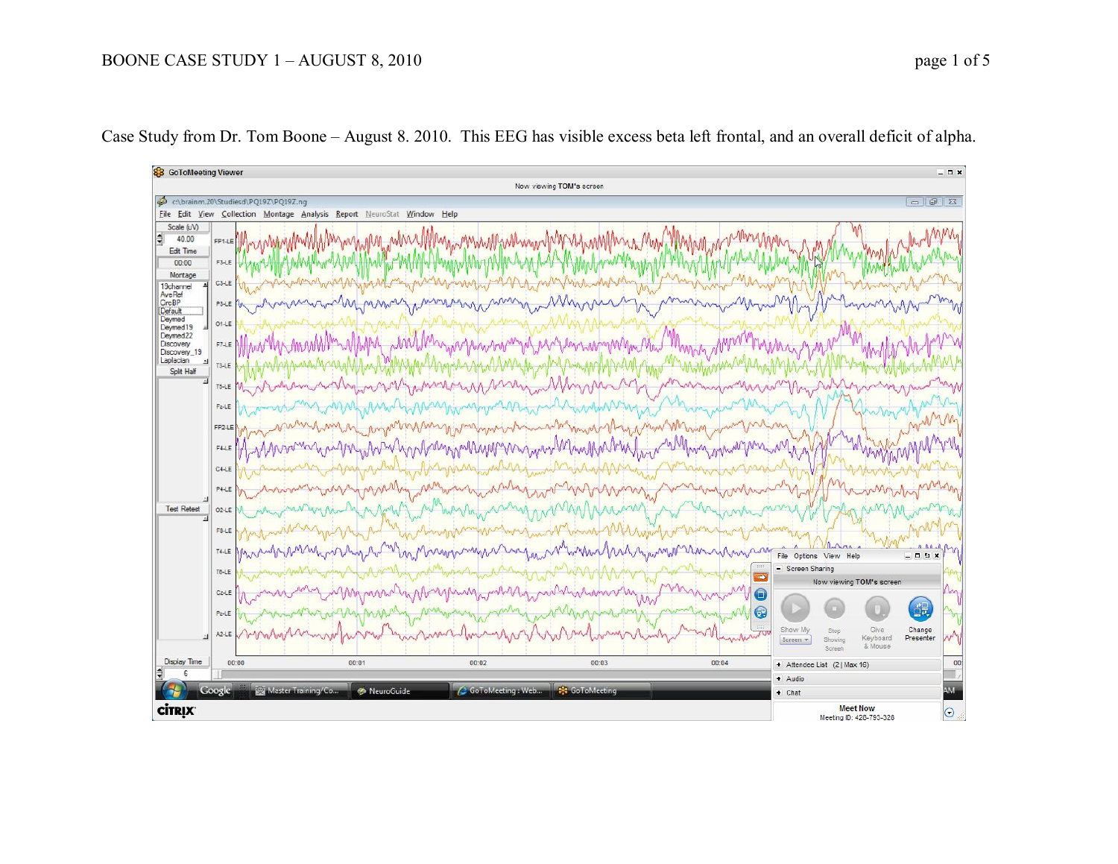## BOONE CASE STUDY 1 – AUGUST 8, 2010 page 1 of 5



Case Study from Dr. Tom Boone – August 8. 2010. This EEG has visible excess beta left frontal, and an overall deficit of alpha.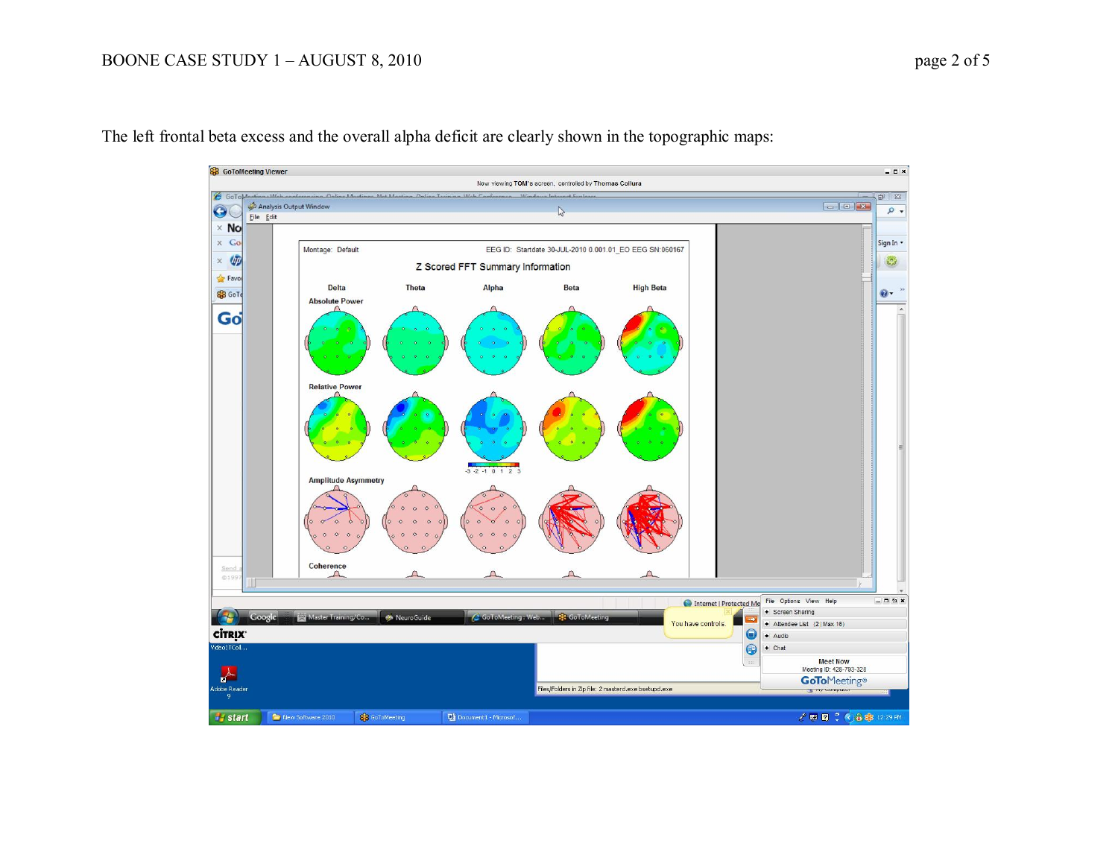## BOONE CASE STUDY 1 – AUGUST 8, 2010 page 2 of 5



The left frontal beta excess and the overall alpha deficit are clearly shown in the topographic maps: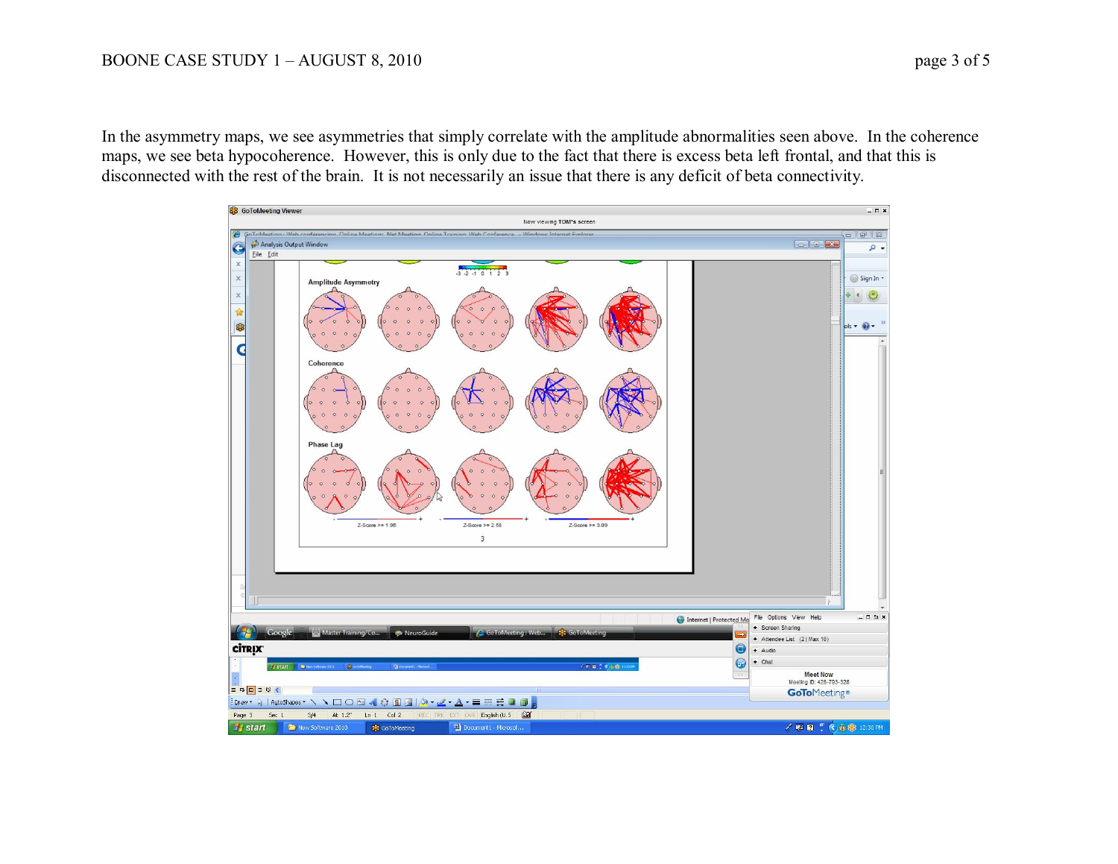In the asymmetry maps, we see asymmetries that simply correlate with the amplitude abnormalities seen above. In the coherence maps, we see beta hypocoherence. However, this is only due to the fact that there is excess beta left frontal, and that this is disconnected with the rest of the brain. It is not necessarily an issue that there is any deficit of beta connectivity.

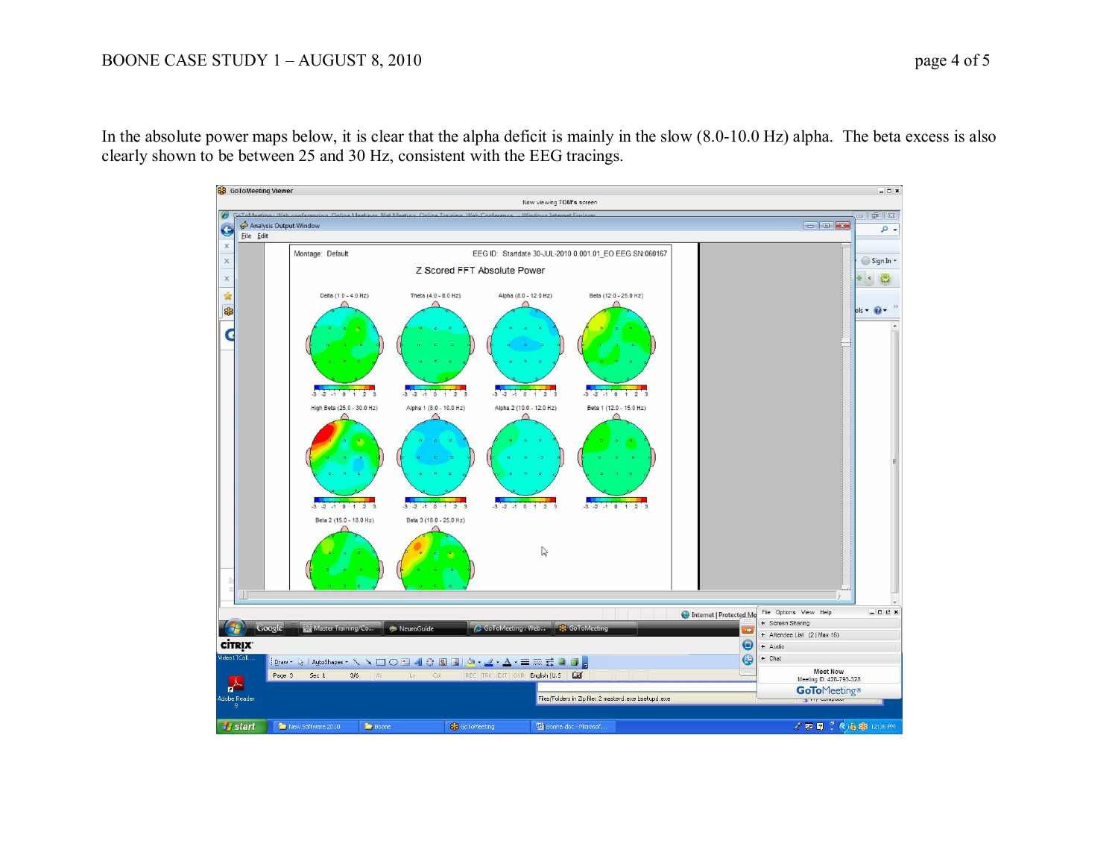In the absolute power maps below, it is clear that the alpha deficit is mainly in the slow (8.0-10.0 Hz) alpha. The beta excess is also clearly shown to be between 25 and 30 Hz, consistent with the EEG tracings.